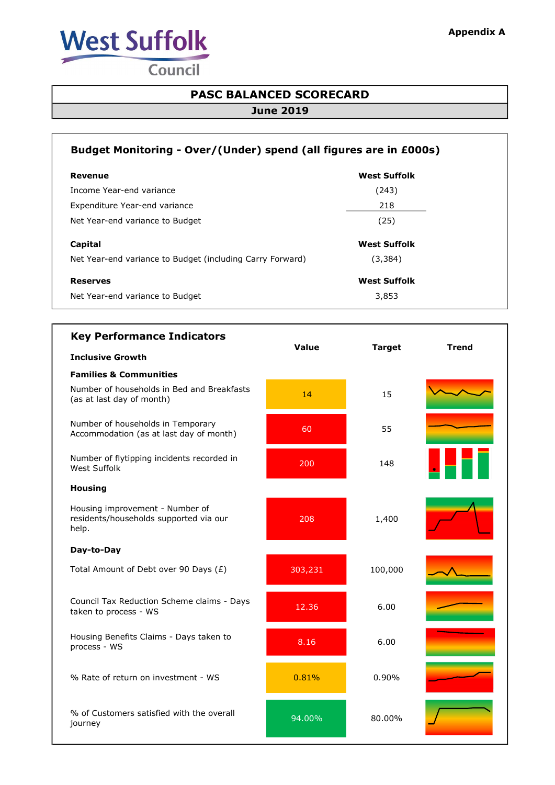

Council

## PASC BALANCED SCORECARD

## June 2019

| Budget Monitoring - Over/(Under) spend (all figures are in £000s) |                     |  |  |
|-------------------------------------------------------------------|---------------------|--|--|
| Revenue                                                           | <b>West Suffolk</b> |  |  |
| Income Year-end variance                                          | (243)               |  |  |
| Expenditure Year-end variance                                     | 218                 |  |  |
| Net Year-end variance to Budget                                   | (25)                |  |  |
| Capital                                                           | <b>West Suffolk</b> |  |  |
| Net Year-end variance to Budget (including Carry Forward)         | (3, 384)            |  |  |
| <b>Reserves</b>                                                   | <b>West Suffolk</b> |  |  |
| Net Year-end variance to Budget                                   | 3,853               |  |  |

| <b>Key Performance Indicators</b>                                                  | Value   | <b>Target</b> | <b>Trend</b> |
|------------------------------------------------------------------------------------|---------|---------------|--------------|
| <b>Inclusive Growth</b>                                                            |         |               |              |
| <b>Families &amp; Communities</b>                                                  |         |               |              |
| Number of households in Bed and Breakfasts<br>(as at last day of month)            | 14      | 15            |              |
| Number of households in Temporary<br>Accommodation (as at last day of month)       | 60      | 55            |              |
| Number of flytipping incidents recorded in<br><b>West Suffolk</b>                  | 200     | 148           |              |
| <b>Housing</b>                                                                     |         |               |              |
| Housing improvement - Number of<br>residents/households supported via our<br>help. | 208     | 1,400         |              |
| Day-to-Day                                                                         |         |               |              |
| Total Amount of Debt over 90 Days (£)                                              | 303,231 | 100,000       |              |
| Council Tax Reduction Scheme claims - Days<br>taken to process - WS                | 12.36   | 6.00          |              |
| Housing Benefits Claims - Days taken to<br>process - WS                            | 8.16    | 6.00          |              |
| % Rate of return on investment - WS                                                | 0.81%   | 0.90%         |              |
| % of Customers satisfied with the overall<br>journey                               | 94.00%  | 80.00%        |              |